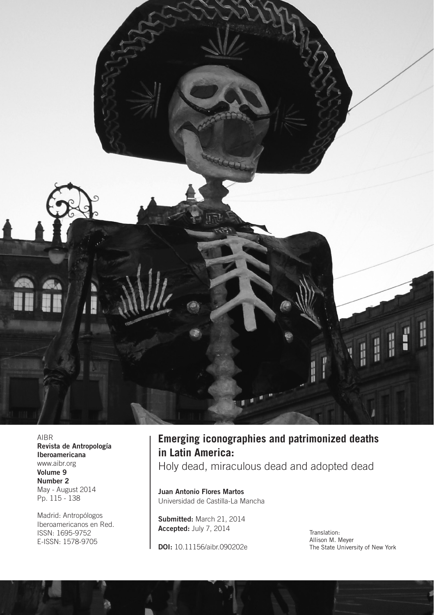

AIBR Revista de Antropología Iberoamericana [www.aibr.org](http://www.aibr.org/antropologia/netesp/) Volume 9 Number 2 May - August 2014 Pp. 115 - 138

Madrid: Antropólogos Iberoamericanos en Red. ISSN: 1695-9752 E-ISSN: 1578-9705

## **Emerging iconographies and patrimonized deaths in Latin America:**

Holy dead, miraculous dead and adopted dead

Juan Antonio Flores Martos Universidad de Castilla-La Mancha

Submitted: March 21, 2014 Accepted: July 7, 2014

DOI: 10.11156/aibr.090202e

Translation: Allison M. Meyer The State University of New York

d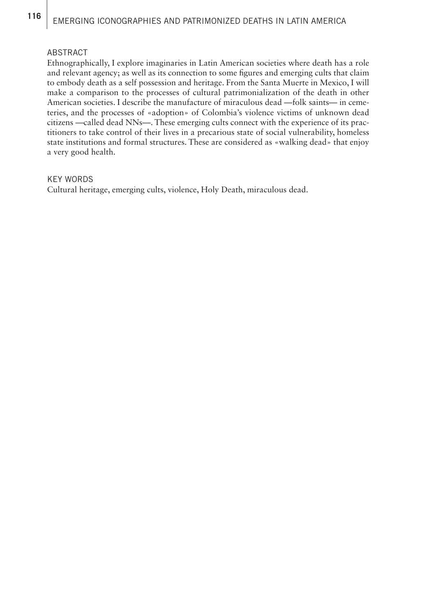# 116 | EMERGING ICONOGRAPHIES AND PATRIMONIZED DEATHS IN LATIN AMERICA

#### ABSTRACT

Ethnographically, I explore imaginaries in Latin American societies where death has a role and relevant agency; as well as its connection to some figures and emerging cults that claim to embody death as a self possession and heritage. From the Santa Muerte in Mexico, I will make a comparison to the processes of cultural patrimonialization of the death in other American societies. I describe the manufacture of miraculous dead —folk saints— in cemeteries, and the processes of «adoption» of Colombia's violence victims of unknown dead citizens —called dead NNs—. These emerging cults connect with the experience of its practitioners to take control of their lives in a precarious state of social vulnerability, homeless state institutions and formal structures. These are considered as «walking dead» that enjoy a very good health.

#### KEY WORDS

Cultural heritage, emerging cults, violence, Holy Death, miraculous dead.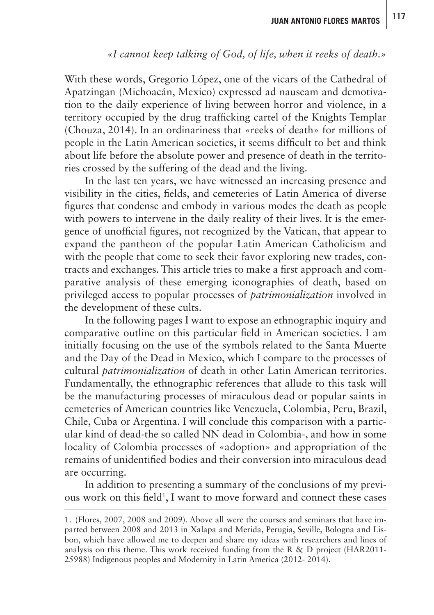### *«I cannot keep talking of God, of life, when it reeks of death.»*

With these words, Gregorio López, one of the vicars of the Cathedral of Apatzingan (Michoacán, Mexico) expressed ad nauseam and demotivation to the daily experience of living between horror and violence, in a territory occupied by the drug trafficking cartel of the Knights Templar (Chouza, 2014). In an ordinariness that «reeks of death» for millions of people in the Latin American societies, it seems difficult to bet and think about life before the absolute power and presence of death in the territories crossed by the suffering of the dead and the living.

In the last ten years, we have witnessed an increasing presence and visibility in the cities, fields, and cemeteries of Latin America of diverse figures that condense and embody in various modes the death as people with powers to intervene in the daily reality of their lives. It is the emergence of unofficial figures, not recognized by the Vatican, that appear to expand the pantheon of the popular Latin American Catholicism and with the people that come to seek their favor exploring new trades, contracts and exchanges. This article tries to make a first approach and comparative analysis of these emerging iconographies of death, based on privileged access to popular processes of *patrimonialization* involved in the development of these cults.

In the following pages I want to expose an ethnographic inquiry and comparative outline on this particular field in American societies. I am initially focusing on the use of the symbols related to the Santa Muerte and the Day of the Dead in Mexico, which I compare to the processes of cultural *patrimonialization* of death in other Latin American territories. Fundamentally, the ethnographic references that allude to this task will be the manufacturing processes of miraculous dead or popular saints in cemeteries of American countries like Venezuela, Colombia, Peru, Brazil, Chile, Cuba or Argentina. I will conclude this comparison with a particular kind of dead-the so called NN dead in Colombia-, and how in some locality of Colombia processes of «adoption» and appropriation of the remains of unidentified bodies and their conversion into miraculous dead are occurring.

In addition to presenting a summary of the conclusions of my previous work on this field<sup>1</sup>, I want to move forward and connect these cases

<sup>1.</sup> (Flores, 2007, 2008 and 2009). Above all were the courses and seminars that have imparted between 2008 and 2013 in Xalapa and Merida, Perugia, Seville, Bologna and Lisbon, which have allowed me to deepen and share my ideas with researchers and lines of analysis on this theme. This work received funding from the R & D project (HAR2011- 25988) Indigenous peoples and Modernity in Latin America (2012- 2014).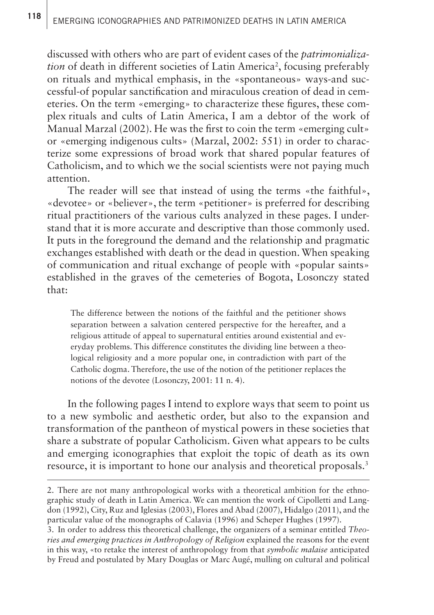discussed with others who are part of evident cases of the *patrimonialization* of death in different societies of Latin America<sup>2</sup>, focusing preferably on rituals and mythical emphasis, in the «spontaneous» ways-and successful-of popular sanctification and miraculous creation of dead in cemeteries. On the term «emerging» to characterize these figures, these complex rituals and cults of Latin America, I am a debtor of the work of Manual Marzal (2002). He was the first to coin the term «emerging cult» or «emerging indigenous cults» (Marzal, 2002: 551) in order to characterize some expressions of broad work that shared popular features of Catholicism, and to which we the social scientists were not paying much attention.

The reader will see that instead of using the terms «the faithful», «devotee» or «believer», the term «petitioner» is preferred for describing ritual practitioners of the various cults analyzed in these pages. I understand that it is more accurate and descriptive than those commonly used. It puts in the foreground the demand and the relationship and pragmatic exchanges established with death or the dead in question. When speaking of communication and ritual exchange of people with «popular saints» established in the graves of the cemeteries of Bogota, Losonczy stated that:

The difference between the notions of the faithful and the petitioner shows separation between a salvation centered perspective for the hereafter, and a religious attitude of appeal to supernatural entities around existential and everyday problems. This difference constitutes the dividing line between a theological religiosity and a more popular one, in contradiction with part of the Catholic dogma. Therefore, the use of the notion of the petitioner replaces the notions of the devotee (Losonczy, 2001: 11 n. 4).

In the following pages I intend to explore ways that seem to point us to a new symbolic and aesthetic order, but also to the expansion and transformation of the pantheon of mystical powers in these societies that share a substrate of popular Catholicism. Given what appears to be cults and emerging iconographies that exploit the topic of death as its own resource, it is important to hone our analysis and theoretical proposals.3

<sup>2.</sup> There are not many anthropological works with a theoretical ambition for the ethnographic study of death in Latin America. We can mention the work of Cipolletti and Langdon (1992), City, Ruz and Iglesias (2003), Flores and Abad (2007), Hidalgo (2011), and the particular value of the monographs of Calavia (1996) and Scheper Hughes (1997).

<sup>3.</sup> In order to address this theoretical challenge, the organizers of a seminar entitled *Theories and emerging practices in Anthropology of Religion* explained the reasons for the event in this way, «to retake the interest of anthropology from that *symbolic malaise* anticipated by Freud and postulated by Mary Douglas or Marc Augé, mulling on cultural and political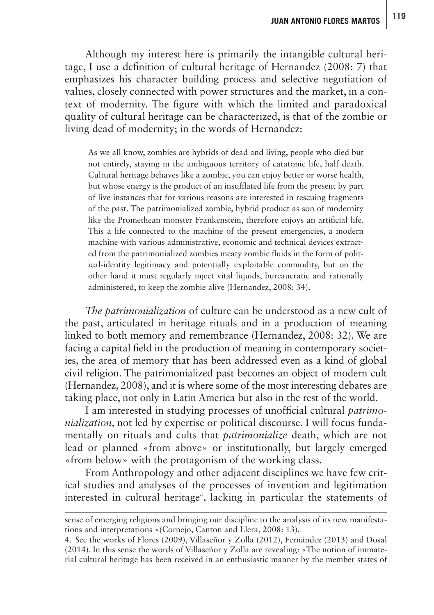Although my interest here is primarily the intangible cultural heritage, I use a definition of cultural heritage of Hernandez (2008: 7) that emphasizes his character building process and selective negotiation of values, closely connected with power structures and the market, in a context of modernity. The figure with which the limited and paradoxical quality of cultural heritage can be characterized, is that of the zombie or living dead of modernity; in the words of Hernandez:

As we all know, zombies are hybrids of dead and living, people who died but not entirely, staying in the ambiguous territory of catatonic life, half death. Cultural heritage behaves like a zombie, you can enjoy better or worse health, but whose energy is the product of an insufflated life from the present by part of live instances that for various reasons are interested in rescuing fragments of the past. The patrimonialized zombie, hybrid product as son of modernity like the Promethean monster Frankenstein, therefore enjoys an artificial life. This a life connected to the machine of the present emergencies, a modern machine with various administrative, economic and technical devices extracted from the patrimonialized zombies meaty zombie fluids in the form of political-identity legitimacy and potentially exploitable commodity, but on the other hand it must regularly inject vital liquids, bureaucratic and rationally administered, to keep the zombie alive (Hernandez, 2008: 34).

*The patrimonialization* of culture can be understood as a new cult of the past, articulated in heritage rituals and in a production of meaning linked to both memory and remembrance (Hernandez, 2008: 32). We are facing a capital field in the production of meaning in contemporary societies, the area of memory that has been addressed even as a kind of global civil religion. The patrimonialized past becomes an object of modern cult (Hernandez, 2008), and it is where some of the most interesting debates are taking place, not only in Latin America but also in the rest of the world.

I am interested in studying processes of unofficial cultural *patrimonialization*, not led by expertise or political discourse. I will focus fundamentally on rituals and cults that *patrimonialize* death, which are not lead or planned «from above» or institutionally, but largely emerged «from below» with the protagonism of the working class.

From Anthropology and other adjacent disciplines we have few critical studies and analyses of the processes of invention and legitimation interested in cultural heritage<sup>4</sup>, lacking in particular the statements of

sense of emerging religions and bringing our discipline to the analysis of its new manifestations and interpretations «(Cornejo, Canton and Llera, 2008: 13).

<sup>4.</sup> See the works of Flores (2009), Villaseñor y Zolla (2012), Fernández (2013) and Dosal (2014). In this sense the words of Villaseñor y Zolla are revealing: «The notion of immaterial cultural heritage has been received in an enthusiastic manner by the member states of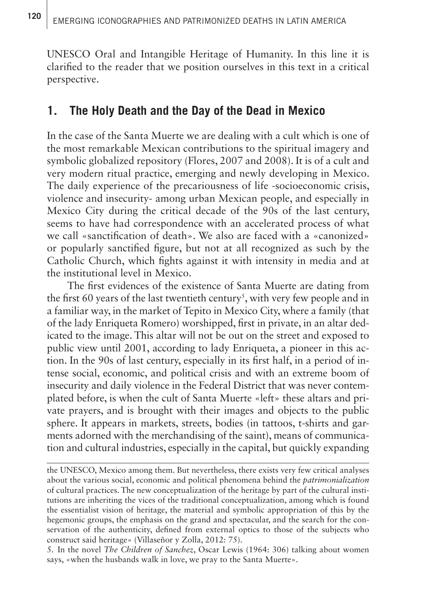UNESCO Oral and Intangible Heritage of Humanity. In this line it is clarified to the reader that we position ourselves in this text in a critical perspective.

## **1. The Holy Death and the Day of the Dead in Mexico**

In the case of the Santa Muerte we are dealing with a cult which is one of the most remarkable Mexican contributions to the spiritual imagery and symbolic globalized repository (Flores, 2007 and 2008). It is of a cult and very modern ritual practice, emerging and newly developing in Mexico. The daily experience of the precariousness of life -socioeconomic crisis, violence and insecurity- among urban Mexican people, and especially in Mexico City during the critical decade of the 90s of the last century, seems to have had correspondence with an accelerated process of what we call «sanctification of death». We also are faced with a «canonized» or popularly sanctified figure, but not at all recognized as such by the Catholic Church, which fights against it with intensity in media and at the institutional level in Mexico.

The first evidences of the existence of Santa Muerte are dating from the first 60 years of the last twentieth century<sup>5</sup>, with very few people and in a familiar way, in the market of Tepito in Mexico City, where a family (that of the lady Enriqueta Romero) worshipped, first in private, in an altar dedicated to the image. This altar will not be out on the street and exposed to public view until 2001, according to lady Enriqueta, a pioneer in this action. In the 90s of last century, especially in its first half, in a period of intense social, economic, and political crisis and with an extreme boom of insecurity and daily violence in the Federal District that was never contemplated before, is when the cult of Santa Muerte «left» these altars and private prayers, and is brought with their images and objects to the public sphere. It appears in markets, streets, bodies (in tattoos, t-shirts and garments adorned with the merchandising of the saint), means of communication and cultural industries, especially in the capital, but quickly expanding

the UNESCO, Mexico among them. But nevertheless, there exists very few critical analyses about the various social, economic and political phenomena behind the *patrimonialization*  of cultural practices. The new conceptualization of the heritage by part of the cultural institutions are inheriting the vices of the traditional conceptualization, among which is found the essentialist vision of heritage, the material and symbolic appropriation of this by the hegemonic groups, the emphasis on the grand and spectacular, and the search for the conservation of the authenticity, defined from external optics to those of the subjects who construct said heritage» (Villaseñor y Zolla, 2012: 75).

5. In the novel *The Children of Sanchez*, Oscar Lewis (1964: 306) talking about women says, «when the husbands walk in love, we pray to the Santa Muerte».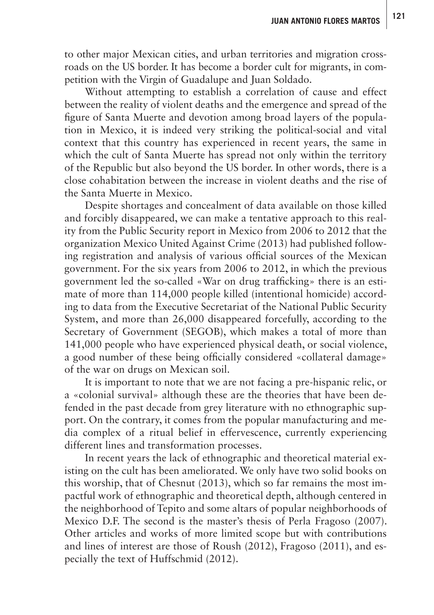to other major Mexican cities, and urban territories and migration crossroads on the US border. It has become a border cult for migrants, in competition with the Virgin of Guadalupe and Juan Soldado.

Without attempting to establish a correlation of cause and effect between the reality of violent deaths and the emergence and spread of the figure of Santa Muerte and devotion among broad layers of the population in Mexico, it is indeed very striking the political-social and vital context that this country has experienced in recent years, the same in which the cult of Santa Muerte has spread not only within the territory of the Republic but also beyond the US border. In other words, there is a close cohabitation between the increase in violent deaths and the rise of the Santa Muerte in Mexico.

Despite shortages and concealment of data available on those killed and forcibly disappeared, we can make a tentative approach to this reality from the Public Security report in Mexico from 2006 to 2012 that the organization Mexico United Against Crime (2013) had published following registration and analysis of various official sources of the Mexican government. For the six years from 2006 to 2012, in which the previous government led the so-called «War on drug trafficking» there is an estimate of more than 114,000 people killed (intentional homicide) according to data from the Executive Secretariat of the National Public Security System, and more than 26,000 disappeared forcefully, according to the Secretary of Government (SEGOB), which makes a total of more than 141,000 people who have experienced physical death, or social violence, a good number of these being officially considered «collateral damage» of the war on drugs on Mexican soil.

It is important to note that we are not facing a pre-hispanic relic, or a «colonial survival» although these are the theories that have been defended in the past decade from grey literature with no ethnographic support. On the contrary, it comes from the popular manufacturing and media complex of a ritual belief in effervescence, currently experiencing different lines and transformation processes.

In recent years the lack of ethnographic and theoretical material existing on the cult has been ameliorated. We only have two solid books on this worship, that of Chesnut (2013), which so far remains the most impactful work of ethnographic and theoretical depth, although centered in the neighborhood of Tepito and some altars of popular neighborhoods of Mexico D.F. The second is the master's thesis of Perla Fragoso (2007). Other articles and works of more limited scope but with contributions and lines of interest are those of Roush (2012), Fragoso (2011), and especially the text of Huffschmid (2012).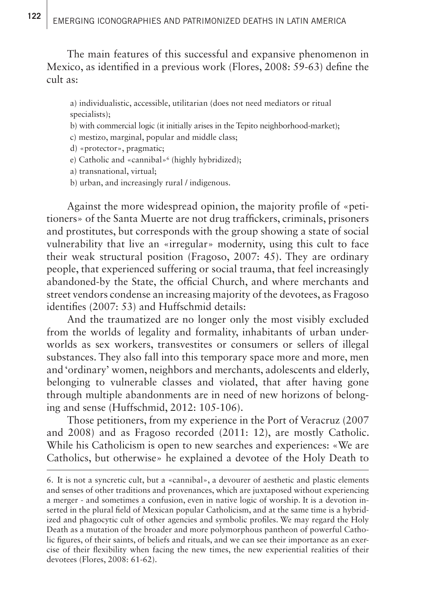The main features of this successful and expansive phenomenon in Mexico, as identified in a previous work (Flores, 2008: 59-63) define the cult as:

a) individualistic, accessible, utilitarian (does not need mediators or ritual specialists);

- b) with commercial logic (it initially arises in the Tepito neighborhood-market);
- c) mestizo, marginal, popular and middle class;
- d) «protector», pragmatic;
- e) Catholic and «cannibal»6 (highly hybridized);
- a) transnational, virtual;
- b) urban, and increasingly rural / indigenous.

Against the more widespread opinion, the majority profile of «petitioners» of the Santa Muerte are not drug traffickers, criminals, prisoners and prostitutes, but corresponds with the group showing a state of social vulnerability that live an «irregular» modernity, using this cult to face their weak structural position (Fragoso, 2007: 45). They are ordinary people, that experienced suffering or social trauma, that feel increasingly abandoned-by the State, the official Church, and where merchants and street vendors condense an increasing majority of the devotees, as Fragoso identifies (2007: 53) and Huffschmid details:

And the traumatized are no longer only the most visibly excluded from the worlds of legality and formality, inhabitants of urban underworlds as sex workers, transvestites or consumers or sellers of illegal substances. They also fall into this temporary space more and more, men and 'ordinary' women, neighbors and merchants, adolescents and elderly, belonging to vulnerable classes and violated, that after having gone through multiple abandonments are in need of new horizons of belonging and sense (Huffschmid, 2012: 105-106).

Those petitioners, from my experience in the Port of Veracruz (2007 and 2008) and as Fragoso recorded (2011: 12), are mostly Catholic. While his Catholicism is open to new searches and experiences: «We are Catholics, but otherwise» he explained a devotee of the Holy Death to

<sup>6.</sup> It is not a syncretic cult, but a «cannibal», a devourer of aesthetic and plastic elements and senses of other traditions and provenances, which are juxtaposed without experiencing a merger - and sometimes a confusion, even in native logic of worship. It is a devotion inserted in the plural field of Mexican popular Catholicism, and at the same time is a hybridized and phagocytic cult of other agencies and symbolic profiles. We may regard the Holy Death as a mutation of the broader and more polymorphous pantheon of powerful Catholic figures, of their saints, of beliefs and rituals, and we can see their importance as an exercise of their flexibility when facing the new times, the new experiential realities of their devotees (Flores, 2008: 61-62).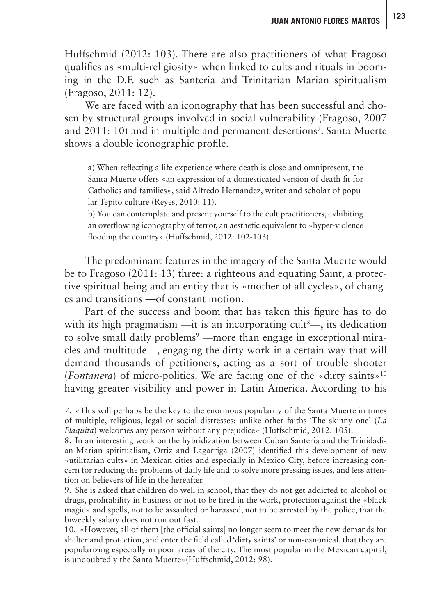Huffschmid (2012: 103). There are also practitioners of what Fragoso qualifies as «multi-religiosity» when linked to cults and rituals in booming in the D.F. such as Santeria and Trinitarian Marian spiritualism (Fragoso, 2011: 12).

We are faced with an iconography that has been successful and chosen by structural groups involved in social vulnerability (Fragoso, 2007 and 2011: 10) and in multiple and permanent desertions<sup>7</sup>. Santa Muerte shows a double iconographic profile.

a) When reflecting a life experience where death is close and omnipresent, the Santa Muerte offers «an expression of a domesticated version of death fit for Catholics and families», said Alfredo Hernandez, writer and scholar of popular Tepito culture (Reyes, 2010: 11).

b) You can contemplate and present yourself to the cult practitioners, exhibiting an overflowing iconography of terror, an aesthetic equivalent to «hyper-violence flooding the country» (Huffschmid, 2012: 102-103).

The predominant features in the imagery of the Santa Muerte would be to Fragoso (2011: 13) three: a righteous and equating Saint, a protective spiritual being and an entity that is «mother of all cycles», of changes and transitions —of constant motion.

Part of the success and boom that has taken this figure has to do with its high pragmatism —it is an incorporating cult<sup>8</sup>—, its dedication to solve small daily problems<sup>9</sup> —more than engage in exceptional miracles and multitude—, engaging the dirty work in a certain way that will demand thousands of petitioners, acting as a sort of trouble shooter (*Fontanera*) of micro-politics. We are facing one of the «dirty saints»<sup>10</sup> having greater visibility and power in Latin America. According to his

9. She is asked that children do well in school, that they do not get addicted to alcohol or drugs, profitability in business or not to be fired in the work, protection against the «black magic» and spells, not to be assaulted or harassed, not to be arrested by the police, that the biweekly salary does not run out fast...

10. «However, all of them [the official saints] no longer seem to meet the new demands for shelter and protection, and enter the field called 'dirty saints' or non-canonical, that they are popularizing especially in poor areas of the city. The most popular in the Mexican capital, is undoubtedly the Santa Muerte»(Huffschmid, 2012: 98).

<sup>7.</sup> «This will perhaps be the key to the enormous popularity of the Santa Muerte in times of multiple, religious, legal or social distresses: unlike other faiths 'The skinny one' (*La Flaquita*) welcomes any person without any prejudice» (Huffschmid, 2012: 105).

<sup>8.</sup> In an interesting work on the hybridization between Cuban Santeria and the Trinidadian-Marian spiritualism, Ortiz and Lagarriga (2007) identified this development of new «utilitarian cults» in Mexican cities and especially in Mexico City, before increasing concern for reducing the problems of daily life and to solve more pressing issues, and less attention on believers of life in the hereafter.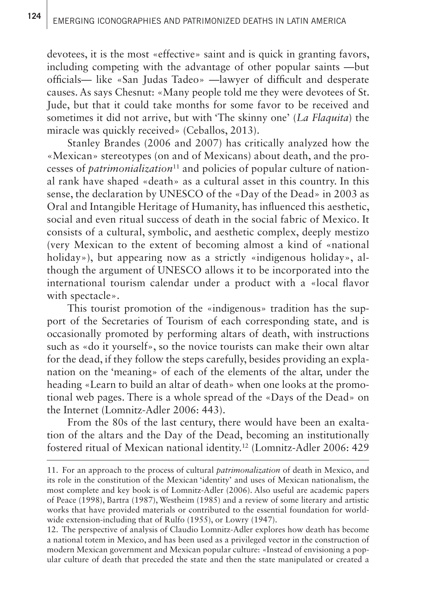devotees, it is the most «effective» saint and is quick in granting favors, including competing with the advantage of other popular saints —but officials— like «San Judas Tadeo» —lawyer of difficult and desperate causes. As says Chesnut: «Many people told me they were devotees of St. Jude, but that it could take months for some favor to be received and sometimes it did not arrive, but with 'The skinny one' (*La Flaquita*) the miracle was quickly received» (Ceballos, 2013).

Stanley Brandes (2006 and 2007) has critically analyzed how the «Mexican» stereotypes (on and of Mexicans) about death, and the processes of *patrimonialization*<sup>11</sup> and policies of popular culture of national rank have shaped «death» as a cultural asset in this country. In this sense, the declaration by UNESCO of the «Day of the Dead» in 2003 as Oral and Intangible Heritage of Humanity, has influenced this aesthetic, social and even ritual success of death in the social fabric of Mexico. It consists of a cultural, symbolic, and aesthetic complex, deeply mestizo (very Mexican to the extent of becoming almost a kind of «national holiday»), but appearing now as a strictly «indigenous holiday», although the argument of UNESCO allows it to be incorporated into the international tourism calendar under a product with a «local flavor with spectacle».

This tourist promotion of the «indigenous» tradition has the support of the Secretaries of Tourism of each corresponding state, and is occasionally promoted by performing altars of death, with instructions such as «do it yourself», so the novice tourists can make their own altar for the dead, if they follow the steps carefully, besides providing an explanation on the 'meaning» of each of the elements of the altar, under the heading «Learn to build an altar of death» when one looks at the promotional web pages. There is a whole spread of the «Days of the Dead» on the Internet (Lomnitz-Adler 2006: 443).

From the 80s of the last century, there would have been an exaltation of the altars and the Day of the Dead, becoming an institutionally fostered ritual of Mexican national identity.12 (Lomnitz-Adler 2006: 429

<sup>11.</sup> For an approach to the process of cultural *patrimonalization* of death in Mexico, and its role in the constitution of the Mexican 'identity' and uses of Mexican nationalism, the most complete and key book is of Lomnitz-Adler (2006). Also useful are academic papers of Peace (1998), Bartra (1987), Westheim (1985) and a review of some literary and artistic works that have provided materials or contributed to the essential foundation for worldwide extension-including that of Rulfo (1955), or Lowry (1947).

<sup>12.</sup> The perspective of analysis of Claudio Lomnitz-Adler explores how death has become a national totem in Mexico, and has been used as a privileged vector in the construction of modern Mexican government and Mexican popular culture: «Instead of envisioning a popular culture of death that preceded the state and then the state manipulated or created a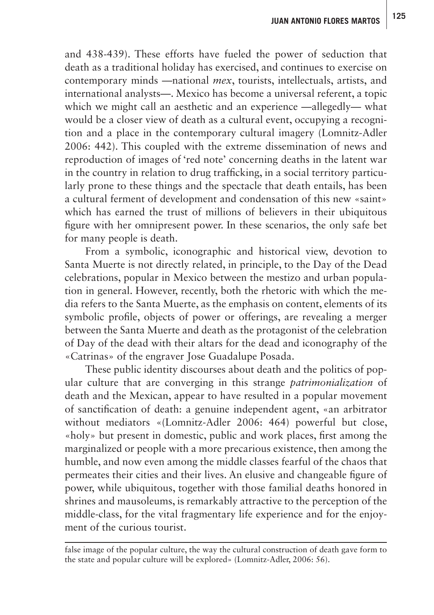and 438-439). These efforts have fueled the power of seduction that death as a traditional holiday has exercised, and continues to exercise on contemporary minds —national *mex*, tourists, intellectuals, artists, and international analysts—. Mexico has become a universal referent, a topic which we might call an aesthetic and an experience —allegedly— what would be a closer view of death as a cultural event, occupying a recognition and a place in the contemporary cultural imagery (Lomnitz-Adler 2006: 442). This coupled with the extreme dissemination of news and reproduction of images of 'red note' concerning deaths in the latent war in the country in relation to drug trafficking, in a social territory particularly prone to these things and the spectacle that death entails, has been a cultural ferment of development and condensation of this new «saint» which has earned the trust of millions of believers in their ubiquitous figure with her omnipresent power. In these scenarios, the only safe bet for many people is death.

From a symbolic, iconographic and historical view, devotion to Santa Muerte is not directly related, in principle, to the Day of the Dead celebrations, popular in Mexico between the mestizo and urban population in general. However, recently, both the rhetoric with which the media refers to the Santa Muerte, as the emphasis on content, elements of its symbolic profile, objects of power or offerings, are revealing a merger between the Santa Muerte and death as the protagonist of the celebration of Day of the dead with their altars for the dead and iconography of the «Catrinas» of the engraver Jose Guadalupe Posada.

These public identity discourses about death and the politics of popular culture that are converging in this strange *patrimonialization* of death and the Mexican, appear to have resulted in a popular movement of sanctification of death: a genuine independent agent, «an arbitrator without mediators «(Lomnitz-Adler 2006: 464) powerful but close, «holy» but present in domestic, public and work places, first among the marginalized or people with a more precarious existence, then among the humble, and now even among the middle classes fearful of the chaos that permeates their cities and their lives. An elusive and changeable figure of power, while ubiquitous, together with those familial deaths honored in shrines and mausoleums, is remarkably attractive to the perception of the middle-class, for the vital fragmentary life experience and for the enjoyment of the curious tourist.

false image of the popular culture, the way the cultural construction of death gave form to the state and popular culture will be explored» (Lomnitz-Adler, 2006: 56).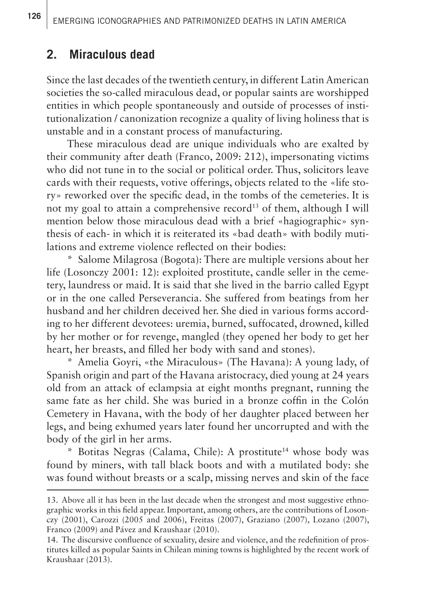#### **2. Miraculous dead**

Since the last decades of the twentieth century, in different Latin American societies the so-called miraculous dead, or popular saints are worshipped entities in which people spontaneously and outside of processes of institutionalization / canonization recognize a quality of living holiness that is unstable and in a constant process of manufacturing.

These miraculous dead are unique individuals who are exalted by their community after death (Franco, 2009: 212), impersonating victims who did not tune in to the social or political order. Thus, solicitors leave cards with their requests, votive offerings, objects related to the «life story» reworked over the specific dead, in the tombs of the cemeteries. It is not my goal to attain a comprehensive record<sup>13</sup> of them, although I will mention below those miraculous dead with a brief «hagiographic» synthesis of each- in which it is reiterated its «bad death» with bodily mutilations and extreme violence reflected on their bodies:

\* Salome Milagrosa (Bogota): There are multiple versions about her life (Losonczy 2001: 12): exploited prostitute, candle seller in the cemetery, laundress or maid. It is said that she lived in the barrio called Egypt or in the one called Perseverancia. She suffered from beatings from her husband and her children deceived her. She died in various forms according to her different devotees: uremia, burned, suffocated, drowned, killed by her mother or for revenge, mangled (they opened her body to get her heart, her breasts, and filled her body with sand and stones).

\* Amelia Goyri, «the Miraculous» (The Havana): A young lady, of Spanish origin and part of the Havana aristocracy, died young at 24 years old from an attack of eclampsia at eight months pregnant, running the same fate as her child. She was buried in a bronze coffin in the Colón Cemetery in Havana, with the body of her daughter placed between her legs, and being exhumed years later found her uncorrupted and with the body of the girl in her arms.

\* Botitas Negras (Calama, Chile): A prostitute14 whose body was found by miners, with tall black boots and with a mutilated body: she was found without breasts or a scalp, missing nerves and skin of the face

<sup>13.</sup> Above all it has been in the last decade when the strongest and most suggestive ethnographic works in this field appear. Important, among others, are the contributions of Losonczy (2001), Carozzi (2005 and 2006), Freitas (2007), Graziano (2007), Lozano (2007), Franco (2009) and Pávez and Kraushaar (2010).

<sup>14.</sup> The discursive confluence of sexuality, desire and violence, and the redefinition of prostitutes killed as popular Saints in Chilean mining towns is highlighted by the recent work of Kraushaar (2013).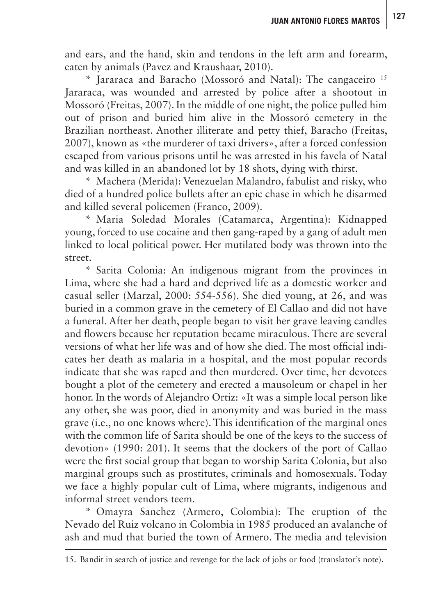and ears, and the hand, skin and tendons in the left arm and forearm, eaten by animals (Pavez and Kraushaar, 2010).

\* Jararaca and Baracho (Mossoró and Natal): The cangaceiro 15 Jararaca, was wounded and arrested by police after a shootout in Mossoró (Freitas, 2007). In the middle of one night, the police pulled him out of prison and buried him alive in the Mossoró cemetery in the Brazilian northeast. Another illiterate and petty thief, Baracho (Freitas, 2007), known as «the murderer of taxi drivers», after a forced confession escaped from various prisons until he was arrested in his favela of Natal and was killed in an abandoned lot by 18 shots, dying with thirst.

\* Machera (Merida): Venezuelan Malandro, fabulist and risky, who died of a hundred police bullets after an epic chase in which he disarmed and killed several policemen (Franco, 2009).

\* Maria Soledad Morales (Catamarca, Argentina): Kidnapped young, forced to use cocaine and then gang-raped by a gang of adult men linked to local political power. Her mutilated body was thrown into the street.

\* Sarita Colonia: An indigenous migrant from the provinces in Lima, where she had a hard and deprived life as a domestic worker and casual seller (Marzal, 2000: 554-556). She died young, at 26, and was buried in a common grave in the cemetery of El Callao and did not have a funeral. After her death, people began to visit her grave leaving candles and flowers because her reputation became miraculous. There are several versions of what her life was and of how she died. The most official indicates her death as malaria in a hospital, and the most popular records indicate that she was raped and then murdered. Over time, her devotees bought a plot of the cemetery and erected a mausoleum or chapel in her honor. In the words of Alejandro Ortiz: «It was a simple local person like any other, she was poor, died in anonymity and was buried in the mass grave (i.e., no one knows where). This identification of the marginal ones with the common life of Sarita should be one of the keys to the success of devotion» (1990: 201). It seems that the dockers of the port of Callao were the first social group that began to worship Sarita Colonia, but also marginal groups such as prostitutes, criminals and homosexuals. Today we face a highly popular cult of Lima, where migrants, indigenous and informal street vendors teem.

\* Omayra Sanchez (Armero, Colombia): The eruption of the Nevado del Ruiz volcano in Colombia in 1985 produced an avalanche of ash and mud that buried the town of Armero. The media and television

<sup>15.</sup> Bandit in search of justice and revenge for the lack of jobs or food (translator's note).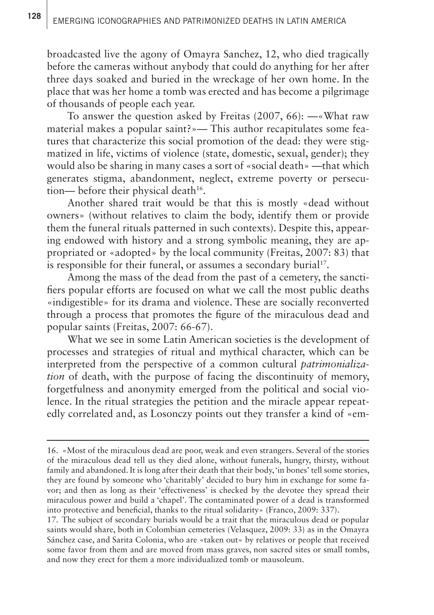broadcasted live the agony of Omayra Sanchez, 12, who died tragically before the cameras without anybody that could do anything for her after three days soaked and buried in the wreckage of her own home. In the place that was her home a tomb was erected and has become a pilgrimage of thousands of people each year.

To answer the question asked by Freitas (2007, 66): —«What raw material makes a popular saint?»— This author recapitulates some features that characterize this social promotion of the dead: they were stigmatized in life, victims of violence (state, domestic, sexual, gender); they would also be sharing in many cases a sort of «social death» —that which generates stigma, abandonment, neglect, extreme poverty or persecution— before their physical death $16$ .

Another shared trait would be that this is mostly «dead without owners» (without relatives to claim the body, identify them or provide them the funeral rituals patterned in such contexts). Despite this, appearing endowed with history and a strong symbolic meaning, they are appropriated or «adopted» by the local community (Freitas, 2007: 83) that is responsible for their funeral, or assumes a secondary burial<sup>17</sup>.

Among the mass of the dead from the past of a cemetery, the sanctifiers popular efforts are focused on what we call the most public deaths «indigestible» for its drama and violence. These are socially reconverted through a process that promotes the figure of the miraculous dead and popular saints (Freitas, 2007: 66-67).

What we see in some Latin American societies is the development of processes and strategies of ritual and mythical character, which can be interpreted from the perspective of a common cultural *patrimonialization* of death, with the purpose of facing the discontinuity of memory, forgetfulness and anonymity emerged from the political and social violence. In the ritual strategies the petition and the miracle appear repeatedly correlated and, as Losonczy points out they transfer a kind of «em-

17. The subject of secondary burials would be a trait that the miraculous dead or popular saints would share, both in Colombian cemeteries (Velasquez, 2009: 33) as in the Omayra Sánchez case, and Sarita Colonia, who are «taken out» by relatives or people that received some favor from them and are moved from mass graves, non sacred sites or small tombs, and now they erect for them a more individualized tomb or mausoleum.

<sup>16.</sup> «Most of the miraculous dead are poor, weak and even strangers. Several of the stories of the miraculous dead tell us they died alone, without funerals, hungry, thirsty, without family and abandoned. It is long after their death that their body, 'in bones' tell some stories, they are found by someone who 'charitably' decided to bury him in exchange for some favor; and then as long as their 'effectiveness' is checked by the devotee they spread their miraculous power and build a 'chapel'. The contaminated power of a dead is transformed into protective and beneficial, thanks to the ritual solidarity» (Franco, 2009: 337).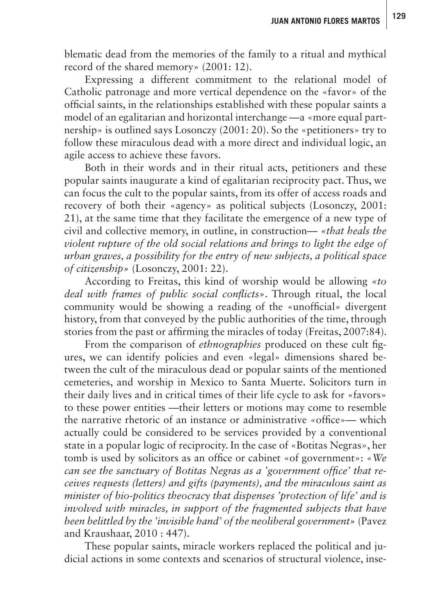blematic dead from the memories of the family to a ritual and mythical record of the shared memory» (2001: 12).

Expressing a different commitment to the relational model of Catholic patronage and more vertical dependence on the «favor» of the official saints, in the relationships established with these popular saints a model of an egalitarian and horizontal interchange —a «more equal partnership» is outlined says Losonczy (2001: 20). So the «petitioners» try to follow these miraculous dead with a more direct and individual logic, an agile access to achieve these favors.

Both in their words and in their ritual acts, petitioners and these popular saints inaugurate a kind of egalitarian reciprocity pact. Thus, we can focus the cult to the popular saints, from its offer of access roads and recovery of both their «agency» as political subjects (Losonczy, 2001: 21), at the same time that they facilitate the emergence of a new type of civil and collective memory, in outline, in construction— *«that heals the violent rupture of the old social relations and brings to light the edge of urban graves, a possibility for the entry of new subjects, a political space of citizenship»* (Losonczy, 2001: 22).

According to Freitas, this kind of worship would be allowing *«to deal with frames of public social conflicts»*. Through ritual, the local community would be showing a reading of the «unofficial» divergent history, from that conveyed by the public authorities of the time, through stories from the past or affirming the miracles of today (Freitas, 2007:84).

From the comparison of *ethnographies* produced on these cult figures, we can identify policies and even «legal» dimensions shared between the cult of the miraculous dead or popular saints of the mentioned cemeteries, and worship in Mexico to Santa Muerte. Solicitors turn in their daily lives and in critical times of their life cycle to ask for «favors» to these power entities —their letters or motions may come to resemble the narrative rhetoric of an instance or administrative «office»— which actually could be considered to be services provided by a conventional state in a popular logic of reciprocity. In the case of «Botitas Negras», her tomb is used by solicitors as an office or cabinet «of government»: «*We can see the sanctuary of Botitas Negras as a 'government office' that receives requests (letters) and gifts (payments), and the miraculous saint as minister of bio-politics theocracy that dispenses 'protection of life' and is involved with miracles, in support of the fragmented subjects that have been belittled by the 'invisible hand' of the neoliberal government»* (Pavez and Kraushaar, 2010 : 447).

These popular saints, miracle workers replaced the political and judicial actions in some contexts and scenarios of structural violence, inse-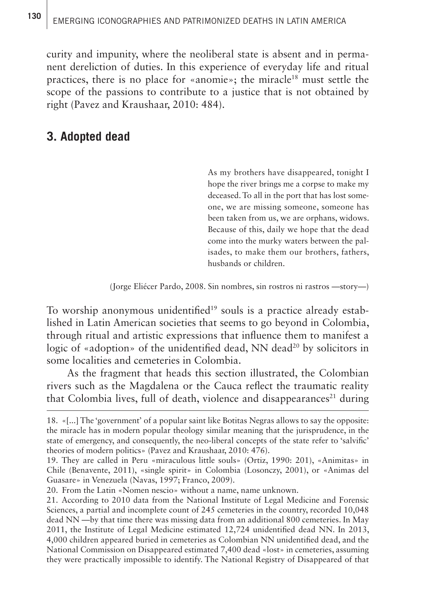# 130 | EMERGING ICONOGRAPHIES AND PATRIMONIZED DEATHS IN LATIN AMERICA

curity and impunity, where the neoliberal state is absent and in permanent dereliction of duties. In this experience of everyday life and ritual practices, there is no place for «anomie»; the miracle<sup>18</sup> must settle the scope of the passions to contribute to a justice that is not obtained by right (Pavez and Kraushaar, 2010: 484).

### **3. Adopted dead**

As my brothers have disappeared, tonight I hope the river brings me a corpse to make my deceased. To all in the port that has lost someone, we are missing someone, someone has been taken from us, we are orphans, widows. Because of this, daily we hope that the dead come into the murky waters between the palisades, to make them our brothers, fathers, husbands or children.

(Jorge Eliécer Pardo, 2008. Sin nombres, sin rostros ni rastros —story—)

To worship anonymous unidentified<sup>19</sup> souls is a practice already established in Latin American societies that seems to go beyond in Colombia, through ritual and artistic expressions that influence them to manifest a logic of «adoption» of the unidentified dead, NN dead<sup>20</sup> by solicitors in some localities and cemeteries in Colombia.

As the fragment that heads this section illustrated, the Colombian rivers such as the Magdalena or the Cauca reflect the traumatic reality that Colombia lives, full of death, violence and disappearances<sup>21</sup> during

20. From the Latin «Nomen nescio» without a name, name unknown.

<sup>18.</sup> «[...] The 'government' of a popular saint like Botitas Negras allows to say the opposite: the miracle has in modern popular theology similar meaning that the jurisprudence, in the state of emergency, and consequently, the neo-liberal concepts of the state refer to 'salvific' theories of modern politics» (Pavez and Kraushaar, 2010: 476).

<sup>19.</sup> They are called in Peru «miraculous little souls» (Ortiz, 1990: 201), «Animitas» in Chile (Benavente, 2011), «single spirit» in Colombia (Losonczy, 2001), or «Animas del Guasare» in Venezuela (Navas, 1997; Franco, 2009).

<sup>21.</sup> According to 2010 data from the National Institute of Legal Medicine and Forensic Sciences, a partial and incomplete count of 245 cemeteries in the country, recorded 10,048 dead NN —by that time there was missing data from an additional 800 cemeteries. In May 2011, the Institute of Legal Medicine estimated 12,724 unidentified dead NN. In 2013, 4,000 children appeared buried in cemeteries as Colombian NN unidentified dead, and the National Commission on Disappeared estimated 7,400 dead «lost» in cemeteries, assuming they were practically impossible to identify. The National Registry of Disappeared of that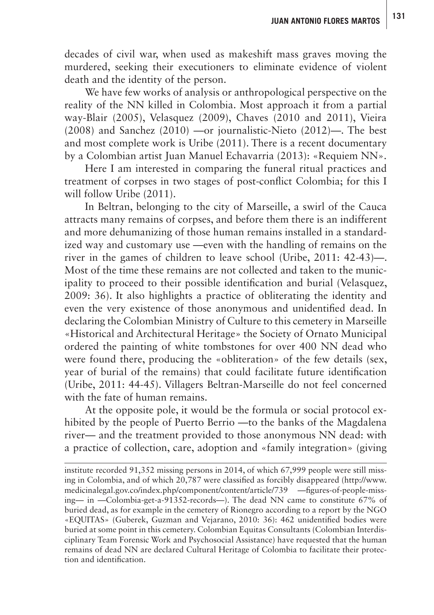**<sup>131</sup> JUAN ANTONIO FLORES MARTOS**

decades of civil war, when used as makeshift mass graves moving the murdered, seeking their executioners to eliminate evidence of violent death and the identity of the person.

We have few works of analysis or anthropological perspective on the reality of the NN killed in Colombia. Most approach it from a partial way-Blair (2005), Velasquez (2009), Chaves (2010 and 2011), Vieira (2008) and Sanchez (2010) —or journalistic-Nieto (2012)—. The best and most complete work is Uribe (2011). There is a recent documentary by a Colombian artist Juan Manuel Echavarria (2013): «Requiem NN».

Here I am interested in comparing the funeral ritual practices and treatment of corpses in two stages of post-conflict Colombia; for this I will follow Uribe (2011).

In Beltran, belonging to the city of Marseille, a swirl of the Cauca attracts many remains of corpses, and before them there is an indifferent and more dehumanizing of those human remains installed in a standardized way and customary use —even with the handling of remains on the river in the games of children to leave school (Uribe, 2011: 42-43)—. Most of the time these remains are not collected and taken to the municipality to proceed to their possible identification and burial (Velasquez, 2009: 36). It also highlights a practice of obliterating the identity and even the very existence of those anonymous and unidentified dead. In declaring the Colombian Ministry of Culture to this cemetery in Marseille «Historical and Architectural Heritage» the Society of Ornato Municipal ordered the painting of white tombstones for over 400 NN dead who were found there, producing the «obliteration» of the few details (sex, year of burial of the remains) that could facilitate future identification (Uribe, 2011: 44-45). Villagers Beltran-Marseille do not feel concerned with the fate of human remains.

At the opposite pole, it would be the formula or social protocol exhibited by the people of Puerto Berrio —to the banks of the Magdalena river— and the treatment provided to those anonymous NN dead: with a practice of collection, care, adoption and «family integration» (giving

institute recorded 91,352 missing persons in 2014, of which 67,999 people were still missing in Colombia, and of which 20,787 were classified as forcibly disappeared [\(http://www.](http://www.medicinalegal.gov.co/index.php/component/content/article/739) [medicinalegal.gov.co/index.php/component/content/article/739](http://www.medicinalegal.gov.co/index.php/component/content/article/739) —figures-of-people-missing— in —Colombia-get-a-91352-records—). The dead NN came to constitute 67% of buried dead, as for example in the cemetery of Rionegro according to a report by the NGO «EQUITAS» (Guberek, Guzman and Vejarano, 2010: 36): 462 unidentified bodies were buried at some point in this cemetery. Colombian Equitas Consultants (Colombian Interdisciplinary Team Forensic Work and Psychosocial Assistance) have requested that the human remains of dead NN are declared Cultural Heritage of Colombia to facilitate their protection and identification.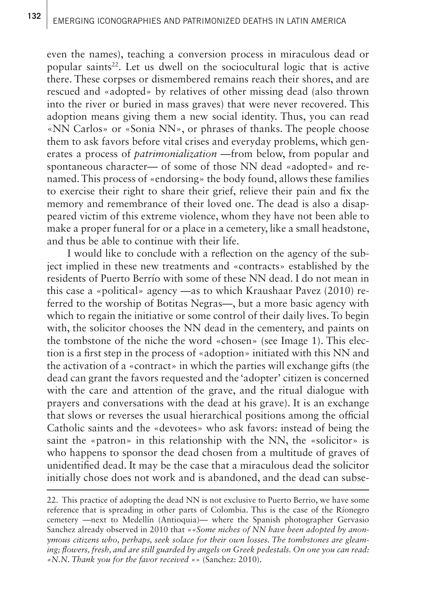even the names), teaching a conversion process in miraculous dead or popular saints $2^2$ . Let us dwell on the sociocultural logic that is active there. These corpses or dismembered remains reach their shores, and are rescued and «adopted» by relatives of other missing dead (also thrown into the river or buried in mass graves) that were never recovered. This adoption means giving them a new social identity. Thus, you can read «NN Carlos» or «Sonia NN», or phrases of thanks. The people choose them to ask favors before vital crises and everyday problems, which generates a process of *patrimonialization —*from below, from popular and spontaneous character— of some of those NN dead «adopted» and renamed. This process of «endorsing» the body found, allows these families to exercise their right to share their grief, relieve their pain and fix the memory and remembrance of their loved one. The dead is also a disappeared victim of this extreme violence, whom they have not been able to make a proper funeral for or a place in a cemetery, like a small headstone, and thus be able to continue with their life.

I would like to conclude with a reflection on the agency of the subject implied in these new treatments and «contracts» established by the residents of Puerto Berrío with some of these NN dead. I do not mean in this case a «political» agency —as to which Kraushaar Pavez (2010) referred to the worship of Botitas Negras—, but a more basic agency with which to regain the initiative or some control of their daily lives. To begin with, the solicitor chooses the NN dead in the cementery, and paints on the tombstone of the niche the word «chosen» (see Image 1). This election is a first step in the process of «adoption» initiated with this NN and the activation of a «contract» in which the parties will exchange gifts (the dead can grant the favors requested and the 'adopter' citizen is concerned with the care and attention of the grave, and the ritual dialogue with prayers and conversations with the dead at his grave). It is an exchange that slows or reverses the usual hierarchical positions among the official Catholic saints and the «devotees» who ask favors: instead of being the saint the «patron» in this relationship with the NN, the «solicitor» is who happens to sponsor the dead chosen from a multitude of graves of unidentified dead. It may be the case that a miraculous dead the solicitor initially chose does not work and is abandoned, and the dead can subse-

<sup>22.</sup> This practice of adopting the dead NN is not exclusive to Puerto Berrio, we have some reference that is spreading in other parts of Colombia. This is the case of the Ríonegro cemetery —next to Medellín (Antioquia)— where the Spanish photographer Gervasio Sanchez already observed in 2010 that *««Some niches of NN have been adopted by anonymous citizens who, perhaps, seek solace for their own losses. The tombstones are gleaming; flowers, fresh, and are still guarded by angels on Greek pedestals. On one you can read: «N.N. Thank you for the favor received «*» (Sanchez: 2010).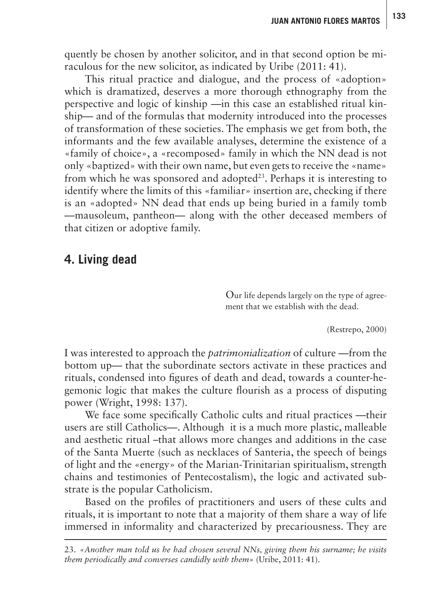quently be chosen by another solicitor, and in that second option be miraculous for the new solicitor, as indicated by Uribe (2011: 41).

This ritual practice and dialogue, and the process of «adoption» which is dramatized, deserves a more thorough ethnography from the perspective and logic of kinship —in this case an established ritual kinship— and of the formulas that modernity introduced into the processes of transformation of these societies. The emphasis we get from both, the informants and the few available analyses, determine the existence of a «family of choice», a «recomposed» family in which the NN dead is not only «baptized» with their own name, but even gets to receive the «name» from which he was sponsored and adopted<sup>23</sup>. Perhaps it is interesting to identify where the limits of this «familiar» insertion are, checking if there is an «adopted» NN dead that ends up being buried in a family tomb —mausoleum, pantheon— along with the other deceased members of that citizen or adoptive family.

## **4. Living dead**

Our life depends largely on the type of agreement that we establish with the dead.

(Restrepo, 2000)

I was interested to approach the *patrimonialization* of culture —from the bottom up— that the subordinate sectors activate in these practices and rituals, condensed into figures of death and dead, towards a counter-hegemonic logic that makes the culture flourish as a process of disputing power (Wright, 1998: 137).

We face some specifically Catholic cults and ritual practices —their users are still Catholics—. Although it is a much more plastic, malleable and aesthetic ritual –that allows more changes and additions in the case of the Santa Muerte (such as necklaces of Santeria, the speech of beings of light and the «energy» of the Marian-Trinitarian spiritualism, strength chains and testimonies of Pentecostalism), the logic and activated substrate is the popular Catholicism.

Based on the profiles of practitioners and users of these cults and rituals, it is important to note that a majority of them share a way of life immersed in informality and characterized by precariousness. They are

23. *«Another man told us he had chosen several NNs, giving them his surname; he visits them periodically and converses candidly with them»* (Uribe, 2011: 41).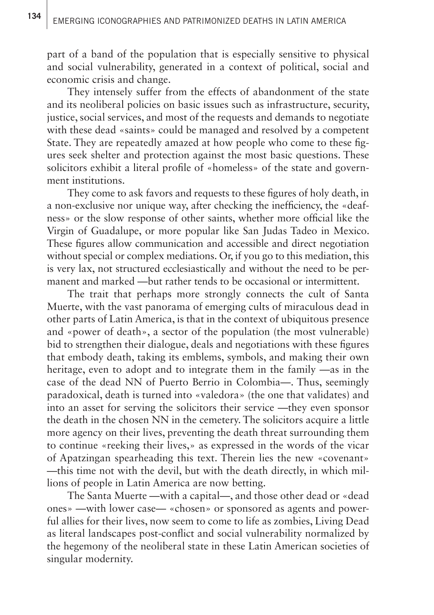part of a band of the population that is especially sensitive to physical and social vulnerability, generated in a context of political, social and economic crisis and change.

They intensely suffer from the effects of abandonment of the state and its neoliberal policies on basic issues such as infrastructure, security, justice, social services, and most of the requests and demands to negotiate with these dead «saints» could be managed and resolved by a competent State. They are repeatedly amazed at how people who come to these figures seek shelter and protection against the most basic questions. These solicitors exhibit a literal profile of «homeless» of the state and government institutions.

They come to ask favors and requests to these figures of holy death, in a non-exclusive nor unique way, after checking the inefficiency, the «deafness» or the slow response of other saints, whether more official like the Virgin of Guadalupe, or more popular like San Judas Tadeo in Mexico. These figures allow communication and accessible and direct negotiation without special or complex mediations. Or, if you go to this mediation, this is very lax, not structured ecclesiastically and without the need to be permanent and marked —but rather tends to be occasional or intermittent.

The trait that perhaps more strongly connects the cult of Santa Muerte, with the vast panorama of emerging cults of miraculous dead in other parts of Latin America, is that in the context of ubiquitous presence and «power of death», a sector of the population (the most vulnerable) bid to strengthen their dialogue, deals and negotiations with these figures that embody death, taking its emblems, symbols, and making their own heritage, even to adopt and to integrate them in the family —as in the case of the dead NN of Puerto Berrio in Colombia—. Thus, seemingly paradoxical, death is turned into «valedora» (the one that validates) and into an asset for serving the solicitors their service —they even sponsor the death in the chosen NN in the cemetery. The solicitors acquire a little more agency on their lives, preventing the death threat surrounding them to continue «reeking their lives,» as expressed in the words of the vicar of Apatzingan spearheading this text. Therein lies the new «covenant» —this time not with the devil, but with the death directly, in which millions of people in Latin America are now betting.

The Santa Muerte —with a capital—, and those other dead or «dead ones» —with lower case— «chosen» or sponsored as agents and powerful allies for their lives, now seem to come to life as zombies, Living Dead as literal landscapes post-conflict and social vulnerability normalized by the hegemony of the neoliberal state in these Latin American societies of singular modernity.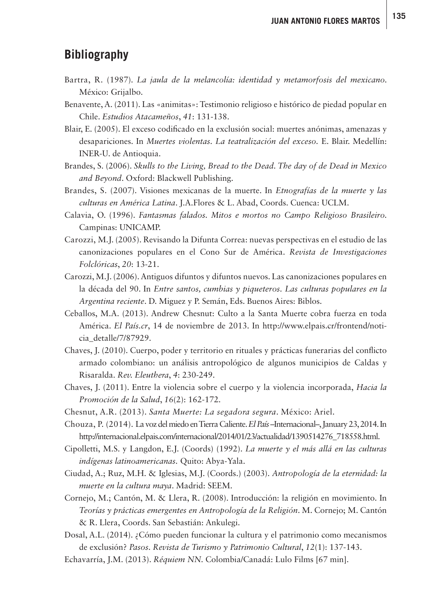## **Bibliography**

- Bartra, R. (1987). *La jaula de la melancolía: identidad y metamorfosis del mexicano.*  México: Grijalbo.
- Benavente, A. (2011). Las «animitas»: Testimonio religioso e histórico de piedad popular en Chile. *Estudios Atacameños*, *41*: 131-138.
- Blair, E. (2005). El exceso codificado en la exclusión social: muertes anónimas, amenazas y desapariciones. In *Muertes violentas. La teatralización del exceso.* E. Blair. Medellín: INER-U. de Antioquia.
- Brandes, S. (2006). *Skulls to the Living, Bread to the Dead. The day of de Dead in Mexico and Beyond*. Oxford: Blackwell Publishing.
- Brandes, S. (2007). Visiones mexicanas de la muerte. In *Etnografías de la muerte y las culturas en América Latina*. J.A.Flores & L. Abad, Coords. Cuenca: UCLM.
- Calavia, O. (1996). *Fantasmas falados. Mitos e mortos no Campo Religioso Brasileiro.*  Campinas: UNICAMP.
- Carozzi, M.J. (2005). Revisando la Difunta Correa: nuevas perspectivas en el estudio de las canonizaciones populares en el Cono Sur de América. *Revista de Investigaciones Folclóricas*, *20*: 13-21.
- Carozzi, M.J. (2006). Antiguos difuntos y difuntos nuevos. Las canonizaciones populares en la década del 90. In *Entre santos, cumbias y piqueteros. Las culturas populares en la Argentina reciente*. D. Miguez y P. Semán, Eds. Buenos Aires: Biblos.
- Ceballos, M.A. (2013). Andrew Chesnut: Culto a la Santa Muerte cobra fuerza en toda América. *El País.cr*, 14 de noviembre de 2013. In [http://www.elpais.cr/frontend/noti](http://www.elpais.cr/frontend/noticia_detalle/7/87929)[cia\\_detalle/7/87929](http://www.elpais.cr/frontend/noticia_detalle/7/87929).
- Chaves, J. (2010). Cuerpo, poder y territorio en rituales y prácticas funerarias del conflicto armado colombiano: un análisis antropológico de algunos municipios de Caldas y Risaralda. *Rev. Eleuthera*, *4*: 230-249.
- Chaves, J. (2011). Entre la violencia sobre el cuerpo y la violencia incorporada, *Hacia la Promoción de la Salud*, *16*(2): 162-172.
- Chesnut, A.R. (2013). *Santa Muerte: La segadora segura*. México: Ariel.
- Chouza, P. (2014). La voz del miedo en Tierra Caliente. *El País* –Internacional–, January 23, 2014. In [http://internacional.elpais.com/internacional/2014/01/23/actualidad/1390514276\\_718558.html.](http://internacional.elpais.com/internacional/2014/01/23/actualidad/1390514276_718558.html)
- Cipolletti, M.S. y Langdon, E.J. (Coords) (1992). *La muerte y el más allá en las culturas indígenas latinoamericanas.* Quito: Abya-Yala.
- Ciudad, A.; Ruz, M.H. & Iglesias, M.J. (Coords.) (2003). *Antropología de la eternidad: la muerte en la cultura maya*. Madrid: SEEM.
- Cornejo, M.; Cantón, M. & Llera, R. (2008). Introducción: la religión en movimiento. In *Teorías y prácticas emergentes en Antropología de la Religión*. M. Cornejo; M. Cantón & R. Llera, Coords. San Sebastián: Ankulegi.
- Dosal, A.L. (2014). ¿Cómo pueden funcionar la cultura y el patrimonio como mecanismos de exclusión? *Pasos. Revista de Turismo y Patrimonio Cultural*, *12*(1): 137-143.
- Echavarría, J.M. (2013). *Réquiem NN.* Colombia/Canadá: Lulo Films [67 min].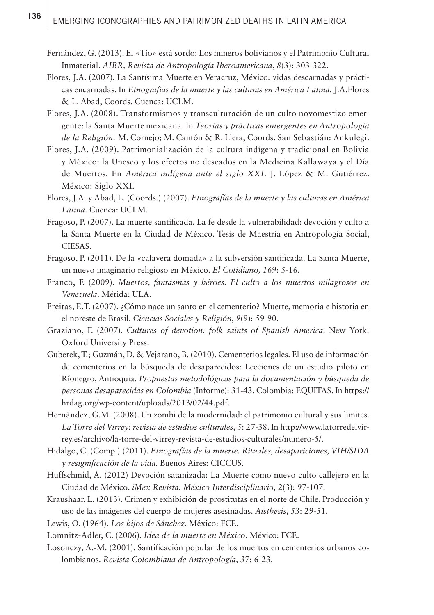- Fernández, G. (2013). El «Tío» está sordo: Los mineros bolivianos y el Patrimonio Cultural Inmaterial. *AIBR, Revista de Antropología Iberoamericana*, *8*(3): 303-322.
- Flores, J.A. (2007). La Santísima Muerte en Veracruz, México: vidas descarnadas y prácticas encarnadas. In *Etnografías de la muerte y las culturas en América Latina.* J.A.Flores & L. Abad, Coords. Cuenca: UCLM.
- Flores, J.A. (2008). Transformismos y transculturación de un culto novomestizo emergente: la Santa Muerte mexicana. In *Teorías y prácticas emergentes en Antropología de la Religión.* M. Cornejo; M. Cantón & R. Llera, Coords. San Sebastián: Ankulegi.
- Flores, J.A. (2009). Patrimonialización de la cultura indígena y tradicional en Bolivia y México: la Unesco y los efectos no deseados en la Medicina Kallawaya y el Día de Muertos. En *América indígena ante el siglo XXI*. J. López & M. Gutiérrez. México: Siglo XXI.
- Flores, J.A. y Abad, L. (Coords.) (2007). *Etnografías de la muerte y las culturas en América Latina*. Cuenca: UCLM.
- Fragoso, P. (2007). La muerte santificada. La fe desde la vulnerabilidad: devoción y culto a la Santa Muerte en la Ciudad de México. Tesis de Maestría en Antropología Social, CIESAS.
- Fragoso, P. (2011). De la «calavera domada» a la subversión santificada. La Santa Muerte, un nuevo imaginario religioso en México. *El Cotidiano, 169*: 5-16.
- Franco, F. (2009). *Muertos, fantasmas y héroes. El culto a los muertos milagrosos en Venezuela*. Mérida: ULA.
- Freitas, E.T. (2007). ¿Cómo nace un santo en el cementerio? Muerte, memoria e historia en el noreste de Brasil. *Ciencias Sociales y Religión*, *9*(9): 59-90.
- Graziano, F. (2007). *Cultures of devotion: folk saints of Spanish America*. New York: Oxford University Press.
- Guberek, T.; Guzmán, D. & Vejarano, B. (2010). Cementerios legales. El uso de información de cementerios en la búsqueda de desaparecidos: Lecciones de un estudio piloto en Ríonegro, Antioquia. *Propuestas metodológicas para la documentación y búsqueda de personas desaparecidas en Colombia* (Informe): 31-43. Colombia: EQUITAS. In [https://](https://hrdag.org/wp-content/uploads/2013/02/44.pdf) [hrdag.org/wp-content/uploads/2013/02/44.pdf](https://hrdag.org/wp-content/uploads/2013/02/44.pdf).
- Hernández, G.M. (2008). Un zombi de la modernidad: el patrimonio cultural y sus límites. *La Torre del Virrey: revista de estudios culturales*, *5*: 27-38. In [http://www.latorredelvir](http://www.latorredelvirrey.es/archivo/la-torre-del-virrey-revista-de-estudios-culturales/numero-5/)[rey.es/archivo/la-torre-del-virrey-revista-de-estudios-culturales/numero-5/.](http://www.latorredelvirrey.es/archivo/la-torre-del-virrey-revista-de-estudios-culturales/numero-5/)
- Hidalgo, C. (Comp.) (2011). *Etnografías de la muerte. Rituales, desapariciones, VIH/SIDA y resignificación de la vida.* Buenos Aires: CICCUS.
- Huffschmid, A. (2012) Devoción satanizada: La Muerte como nuevo culto callejero en la Ciudad de México. *iMex Revista. México Interdisciplinario, 2*(3): 97-107.
- Kraushaar, L. (2013). Crimen y exhibición de prostitutas en el norte de Chile. Producción y uso de las imágenes del cuerpo de mujeres asesinadas. *Aisthesis, 53*: 29-51.
- Lewis, O. (1964). *Los hijos de Sánchez*. México: FCE.
- Lomnitz-Adler, C. (2006). *Idea de la muerte en México*. México: FCE.
- Losonczy, A.-M. (2001). Santificación popular de los muertos en cementerios urbanos colombianos. *Revista Colombiana de Antropología, 37*: 6-23.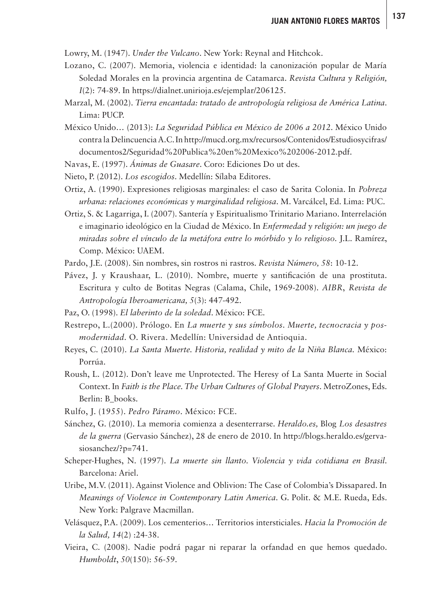Lowry, M. (1947). *Under the Vulcano*. New York: Reynal and Hitchcok.

- Lozano, C. (2007). Memoria, violencia e identidad: la canonización popular de María Soledad Morales en la provincia argentina de Catamarca. *Revista Cultura y Religión, I*(2): 74-89. In [https://dialnet.unirioja.es/ejemplar/206125.](https://dialnet.unirioja.es/ejemplar/206125)
- Marzal, M. (2002). *Tierra encantada: tratado de antropología religiosa de América Latina*. Lima: PUCP.
- México Unido… (2013): *La Seguridad Pública en México de 2006 a 2012*. México Unido contra la Delincuencia A.C. In [http://mucd.org.mx/recursos/Contenidos/Estudiosycifras/](http://mucd.org.mx/recursos/Contenidos/Estudiosycifras/documentos2/Seguridad%20Publica%20en%20Mexico%202006-2012.pdf) [documentos2/Seguridad%20Publica%20en%20Mexico%202006-2012.pdf](http://mucd.org.mx/recursos/Contenidos/Estudiosycifras/documentos2/Seguridad%20Publica%20en%20Mexico%202006-2012.pdf).
- Navas, E. (1997). *Ánimas de Guasare*. Coro: Ediciones Do ut des.
- Nieto, P. (2012). *Los escogidos*. Medellín: Sílaba Editores.
- Ortiz, A. (1990). Expresiones religiosas marginales: el caso de Sarita Colonia. In *Pobreza urbana: relaciones económicas y marginalidad religiosa*. M. Varcálcel, Ed. Lima: PUC.
- Ortiz, S. & Lagarriga, I. (2007). Santería y Espiritualismo Trinitario Mariano. Interrelación e imaginario ideológico en la Ciudad de México. In *Enfermedad y religión: un juego de miradas sobre el vínculo de la metáfora entre lo mórbido y lo religioso.* J.L. Ramírez, Comp. México: UAEM.
- Pardo, J.E. (2008). Sin nombres, sin rostros ni rastros. *Revista Número, 58*: 10-12.
- Pávez, J. y Kraushaar, L. (2010). Nombre, muerte y santificación de una prostituta. Escritura y culto de Botitas Negras (Calama, Chile, 1969-2008). *AIBR*, *Revista de Antropología Iberoamericana, 5*(3): 447-492.
- Paz, O. (1998). *El laberinto de la soledad*. México: FCE.
- Restrepo, L.(2000). Prólogo. En *La muerte y sus símbolos. Muerte, tecnocracia y posmodernidad.* O*.* Rivera. Medellín: Universidad de Antioquia.
- Reyes, C. (2010). *La Santa Muerte. Historia, realidad y mito de la Niña Blanca.* México: Porrúa.
- Roush, L. (2012). Don't leave me Unprotected. The Heresy of La Santa Muerte in Social Context. In *Faith is the Place. The Urban Cultures of Global Prayers*. MetroZones, Eds. Berlin: B\_books.
- Rulfo, J. (1955). *Pedro Páramo*. México: FCE.
- Sánchez, G. (2010). La memoria comienza a desenterrarse. *Heraldo.es,* Blog *Los desastres de la guerra* (Gervasio Sánchez), 28 de enero de 2010. In [http://blogs.heraldo.es/gerva](http://blogs.heraldo.es/gervasiosanchez/?p=741.)[siosanchez/?p=741.](http://blogs.heraldo.es/gervasiosanchez/?p=741.)
- Scheper-Hughes, N. (1997). *La muerte sin llanto. Violencia y vida cotidiana en Brasil*. Barcelona: Ariel.
- Uribe, M.V. (2011). Against Violence and Oblivion: The Case of Colombia's Dissapared. In *Meanings of Violence in Contemporary Latin America*. G. Polit. & M.E. Rueda, Eds. New York: Palgrave Macmillan.
- Velásquez, P.A. (2009). Los cementerios… Territorios intersticiales. *Hacia la Promoción de la Salud, 14*(2) :24-38.
- Vieira, C. (2008). Nadie podrá pagar ni reparar la orfandad en que hemos quedado. *Humboldt*, *50*(150): 56-59.